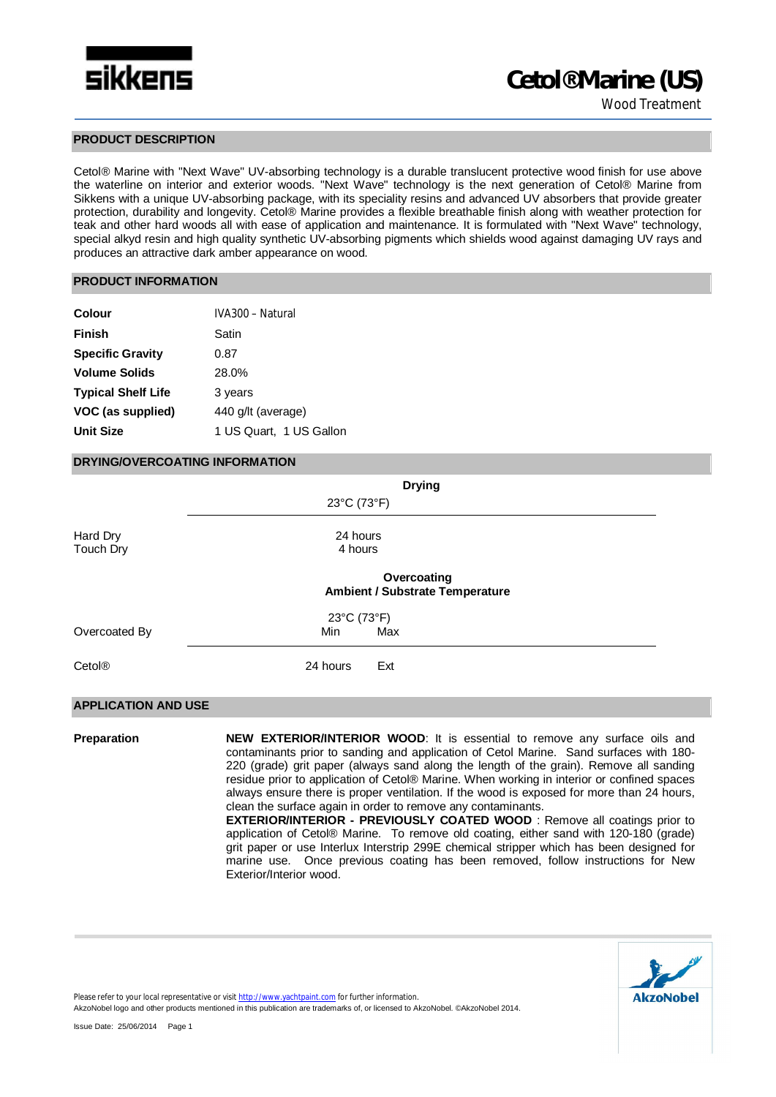

## **PRODUCT DESCRIPTION**

Cetol® Marine with "Next Wave" UV-absorbing technology is a durable translucent protective wood finish for use above the waterline on interior and exterior woods. "Next Wave" technology is the next generation of Cetol® Marine from Sikkens with a unique UV-absorbing package, with its speciality resins and advanced UV absorbers that provide greater protection, durability and longevity. Cetol® Marine provides a flexible breathable finish along with weather protection for teak and other hard woods all with ease of application and maintenance. It is formulated with "Next Wave" technology, special alkyd resin and high quality synthetic UV-absorbing pigments which shields wood against damaging UV rays and produces an attractive dark amber appearance on wood.

## **PRODUCT INFORMATION**

| Colour                    | IVA300 - Natural        |
|---------------------------|-------------------------|
| <b>Finish</b>             | Satin                   |
| <b>Specific Gravity</b>   | 0.87                    |
| <b>Volume Solids</b>      | 28.0%                   |
| <b>Typical Shelf Life</b> | 3 years                 |
| VOC (as supplied)         | 440 g/lt (average)      |
| <b>Unit Size</b>          | 1 US Quart, 1 US Gallon |

## **DRYING/OVERCOATING INFORMATION**

|                            | <b>Drying</b>                                         |  |
|----------------------------|-------------------------------------------------------|--|
|                            | 23°C (73°F)                                           |  |
| Hard Dry<br>Touch Dry      | 24 hours<br>4 hours                                   |  |
|                            | Overcoating<br><b>Ambient / Substrate Temperature</b> |  |
|                            | 23°C (73°F)                                           |  |
| Overcoated By              | Max<br>Min                                            |  |
| Cetol <sup>®</sup>         | 24 hours<br>Ext                                       |  |
| <b>APPLICATION AND USE</b> |                                                       |  |

**Preparation <b>NEW EXTERIOR/INTERIOR WOOD**: It is essential to remove any surface oils and contaminants prior to sanding and application of Cetol Marine. Sand surfaces with 180- 220 (grade) grit paper (always sand along the length of the grain). Remove all sanding residue prior to application of Cetol® Marine. When working in interior or confined spaces always ensure there is proper ventilation. If the wood is exposed for more than 24 hours, clean the surface again in order to remove any contaminants.

**EXTERIOR/INTERIOR - PREVIOUSLY COATED WOOD** : Remove all coatings prior to application of Cetol® Marine. To remove old coating, either sand with 120-180 (grade) grit paper or use Interlux Interstrip 299E chemical stripper which has been designed for marine use. Once previous coating has been removed, follow instructions for New Exterior/Interior wood.



Please refer to your local representative or visit http://www.yachtpaint.com for further information.

AkzoNobel logo and other products mentioned in this publication are trademarks of, or licensed to AkzoNobel. ©AkzoNobel 2014.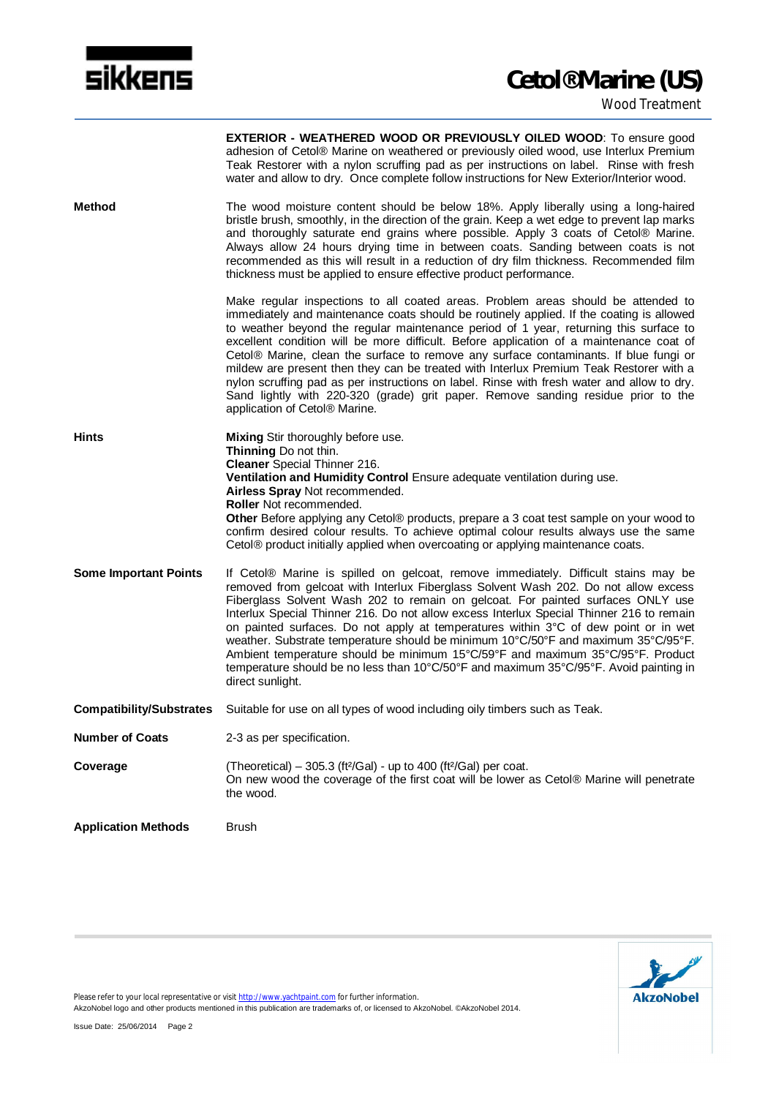

|                              | <b>EXTERIOR - WEATHERED WOOD OR PREVIOUSLY OILED WOOD:</b> To ensure good<br>adhesion of Cetol® Marine on weathered or previously oiled wood, use Interlux Premium<br>Teak Restorer with a nylon scruffing pad as per instructions on label. Rinse with fresh<br>water and allow to dry. Once complete follow instructions for New Exterior/Interior wood.                                                                                                                                                                                                                                                                                                                                                                                                               |
|------------------------------|--------------------------------------------------------------------------------------------------------------------------------------------------------------------------------------------------------------------------------------------------------------------------------------------------------------------------------------------------------------------------------------------------------------------------------------------------------------------------------------------------------------------------------------------------------------------------------------------------------------------------------------------------------------------------------------------------------------------------------------------------------------------------|
| Method                       | The wood moisture content should be below 18%. Apply liberally using a long-haired<br>bristle brush, smoothly, in the direction of the grain. Keep a wet edge to prevent lap marks<br>and thoroughly saturate end grains where possible. Apply 3 coats of Cetol® Marine.<br>Always allow 24 hours drying time in between coats. Sanding between coats is not<br>recommended as this will result in a reduction of dry film thickness. Recommended film<br>thickness must be applied to ensure effective product performance.                                                                                                                                                                                                                                             |
|                              | Make regular inspections to all coated areas. Problem areas should be attended to<br>immediately and maintenance coats should be routinely applied. If the coating is allowed<br>to weather beyond the regular maintenance period of 1 year, returning this surface to<br>excellent condition will be more difficult. Before application of a maintenance coat of<br>Cetol® Marine, clean the surface to remove any surface contaminants. If blue fungi or<br>mildew are present then they can be treated with Interlux Premium Teak Restorer with a<br>nylon scruffing pad as per instructions on label. Rinse with fresh water and allow to dry.<br>Sand lightly with 220-320 (grade) grit paper. Remove sanding residue prior to the<br>application of Cetol® Marine. |
| Hints                        | Mixing Stir thoroughly before use.<br>Thinning Do not thin.<br><b>Cleaner</b> Special Thinner 216.<br>Ventilation and Humidity Control Ensure adequate ventilation during use.<br>Airless Spray Not recommended.<br>Roller Not recommended.<br>Other Before applying any Cetol® products, prepare a 3 coat test sample on your wood to<br>confirm desired colour results. To achieve optimal colour results always use the same<br>Cetol® product initially applied when overcoating or applying maintenance coats.                                                                                                                                                                                                                                                      |
| <b>Some Important Points</b> | If Cetol® Marine is spilled on gelcoat, remove immediately. Difficult stains may be<br>removed from gelcoat with Interlux Fiberglass Solvent Wash 202. Do not allow excess<br>Fiberglass Solvent Wash 202 to remain on gelcoat. For painted surfaces ONLY use<br>Interlux Special Thinner 216. Do not allow excess Interlux Special Thinner 216 to remain<br>on painted surfaces. Do not apply at temperatures within 3°C of dew point or in wet<br>weather. Substrate temperature should be minimum 10°C/50°F and maximum 35°C/95°F.<br>Ambient temperature should be minimum 15°C/59°F and maximum 35°C/95°F. Product<br>temperature should be no less than 10°C/50°F and maximum 35°C/95°F. Avoid painting in<br>direct sunlight.                                     |
|                              | Compatibility/Substrates Suitable for use on all types of wood including oily timbers such as Teak.                                                                                                                                                                                                                                                                                                                                                                                                                                                                                                                                                                                                                                                                      |
| <b>Number of Coats</b>       | 2-3 as per specification.                                                                                                                                                                                                                                                                                                                                                                                                                                                                                                                                                                                                                                                                                                                                                |
| Coverage                     | (Theoretical) – 305.3 (ft <sup>2</sup> /Gal) - up to 400 (ft <sup>2</sup> /Gal) per coat.<br>On new wood the coverage of the first coat will be lower as Cetol® Marine will penetrate<br>the wood.                                                                                                                                                                                                                                                                                                                                                                                                                                                                                                                                                                       |
| <b>Application Methods</b>   | <b>Brush</b>                                                                                                                                                                                                                                                                                                                                                                                                                                                                                                                                                                                                                                                                                                                                                             |



Please refer to your local representative or visit http://www.yachtpaint.com for further information.

AkzoNobel logo and other products mentioned in this publication are trademarks of, or licensed to AkzoNobel. ©AkzoNobel 2014.